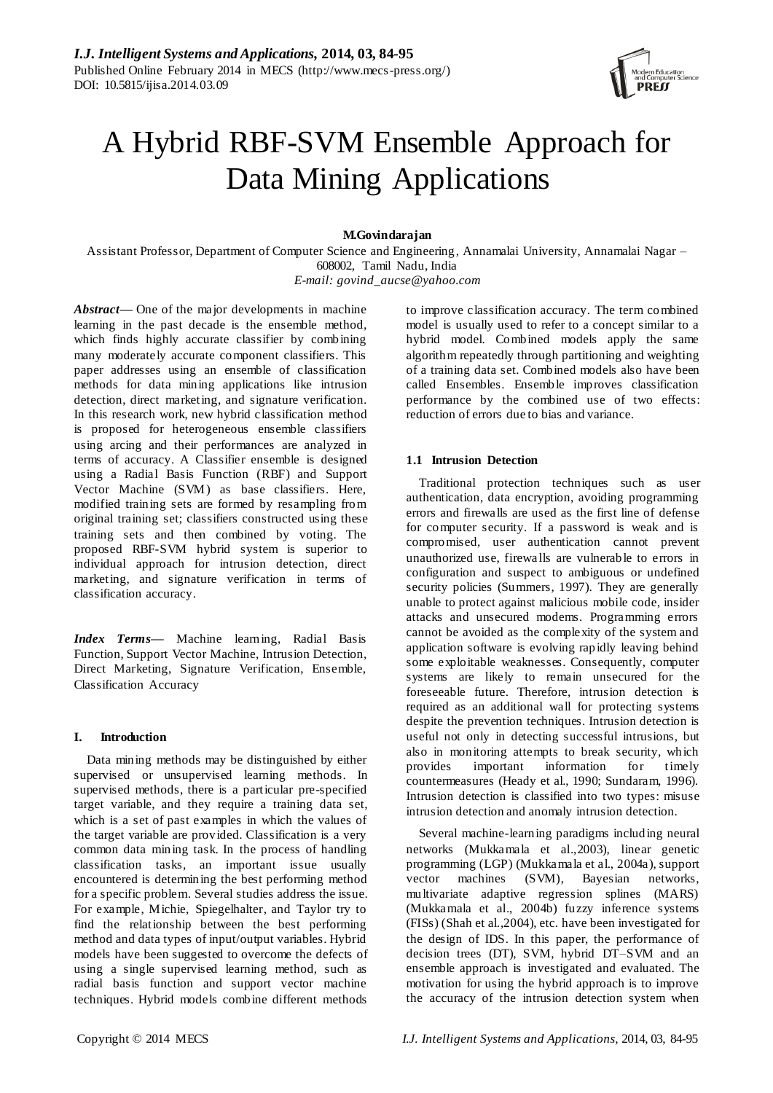

# A Hybrid RBF-SVM Ensemble Approach for Data Mining Applications

# **M.Govindarajan**

Assistant Professor, Department of Computer Science and Engineering, Annamalai University, Annamalai Nagar – 608002, Tamil Nadu, India *E-mail: govind\_aucse@yahoo.com*

*Abstract***—** One of the major developments in machine learning in the past decade is the ensemble method, which finds highly accurate classifier by combining many moderately accurate component classifiers. This paper addresses using an ensemble of classification methods for data mining applications like intrusion detection, direct marketing, and signature verification. In this research work, new hybrid classification method is proposed for heterogeneous ensemble classifiers using arcing and their performances are analyzed in terms of accuracy. A Classifier ensemble is designed using a Radial Basis Function (RBF) and Support Vector Machine (SVM) as base classifiers. Here, modified training sets are formed by resampling from original training set; classifiers constructed using these training sets and then combined by voting. The proposed RBF-SVM hybrid system is superior to individual approach for intrusion detection, direct marketing, and signature verification in terms of classification accuracy.

*Index Terms***—** Machine learning, Radial Basis Function, Support Vector Machine, Intrusion Detection, Direct Marketing, Signature Verification, Ensemble, Classification Accuracy

# **I. Introduction**

Data mining methods may be distinguished by either supervised or unsupervised learning methods. In supervised methods, there is a particular pre-specified target variable, and they require a training data set, which is a set of past examples in which the values of the target variable are provided. Classification is a very common data mining task. In the process of handling classification tasks, an important issue usually encountered is determining the best performing method for a specific problem. Several studies address the issue. For example, Michie, Spiegelhalter, and Taylor try to find the relationship between the best performing method and data types of input/output variables. Hybrid models have been suggested to overcome the defects of using a single supervised learning method, such as radial basis function and support vector machine techniques. Hybrid models combine different methods

to improve classification accuracy. The term combined model is usually used to refer to a concept similar to a hybrid model. Combined models apply the same algorithm repeatedly through partitioning and weighting of a training data set. Combined models also have been called Ensembles. Ensemble improves classification performance by the combined use of two effects: reduction of errors due to bias and variance.

# **1.1 Intrusion Detection**

Traditional protection techniques such as user authentication, data encryption, avoiding programming errors and firewalls are used as the first line of defense for computer security. If a password is weak and is compromised, user authentication cannot prevent unauthorized use, firewa lls are vulnerable to errors in configuration and suspect to ambiguous or undefined security policies (Summers, 1997). They are generally unable to protect against malicious mobile code, insider attacks and unsecured modems. Programming errors cannot be avoided as the complexity of the system and application software is evolving rapidly leaving behind some exploitable weaknesses. Consequently, computer systems are likely to remain unsecured for the foreseeable future. Therefore, intrusion detection is required as an additional wall for protecting systems despite the prevention techniques. Intrusion detection is useful not only in detecting successful intrusions, but also in monitoring attempts to break security, which provides important information for timely countermeasures (Heady et al., 1990; Sundaram, 1996). Intrusion detection is classified into two types: misuse intrusion detection and anomaly intrusion detection.

Several machine-learning paradigms including neural networks (Mukkamala et al.,2003), linear genetic programming (LGP) (Mukkamala et al., 2004a), support vector machines (SVM), Bayesian networks, multivariate adaptive regression splines (MARS) (Mukkamala et al., 2004b) fuzzy inference systems (FISs) (Shah et al.,2004), etc. have been investigated for the design of IDS. In this paper, the performance of decision trees (DT), SVM, hybrid DT–SVM and an ensemble approach is investigated and evaluated. The motivation for using the hybrid approach is to improve the accuracy of the intrusion detection system when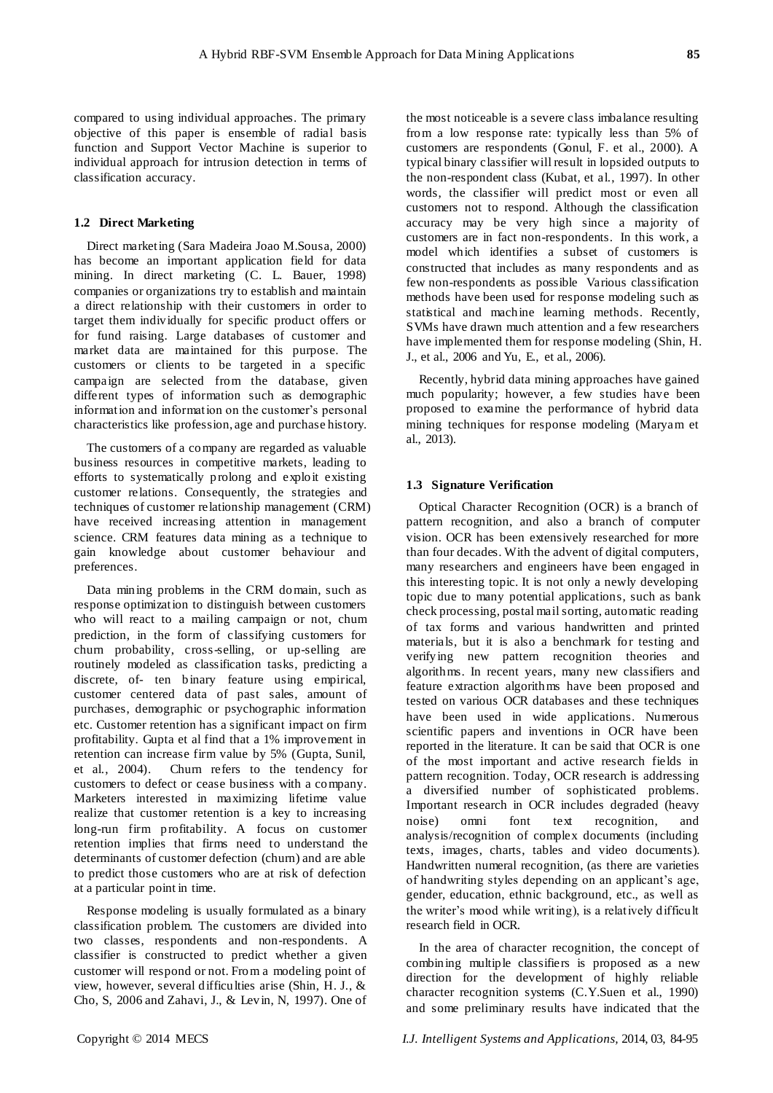compared to using individual approaches. The primary objective of this paper is ensemble of radial basis function and Support Vector Machine is superior to individual approach for intrusion detection in terms of classification accuracy.

# **1.2 Direct Marketing**

Direct marketing (Sara Madeira Joao M.Sousa, 2000) has become an important application field for data mining. In direct marketing (C. L. Bauer, 1998) companies or organizations try to establish and maintain a direct relationship with their customers in order to target them individually for specific product offers or for fund raising. Large databases of customer and market data are maintained for this purpose. The customers or clients to be targeted in a specific campaign are selected from the database, given different types of information such as demographic information and information on the customer's personal characteristics like profession, age and purchase history.

The customers of a company are regarded as valuable business resources in competitive markets, leading to efforts to systematically prolong and exploit existing customer relations. Consequently, the strategies and techniques of customer relationship management (CRM) have received increasing attention in management science. CRM features data mining as a technique to gain knowledge about customer behaviour and preferences.

Data mining problems in the CRM domain, such as response optimization to distinguish between customers who will react to a mailing campaign or not, chum prediction, in the form of classifying customers for churn probability, cross-selling, or up-selling are routinely modeled as classification tasks, predicting a discrete, of- ten binary feature using empirical, customer centered data of past sales, amount of purchases, demographic or psychographic information etc. Customer retention has a significant impact on firm profitability. Gupta et al find that a 1% improvement in retention can increase firm value by 5% (Gupta, Sunil, et al., 2004). Churn refers to the tendency for customers to defect or cease business with a company. Marketers interested in maximizing lifetime value realize that customer retention is a key to increasing long-run firm profitability. A focus on customer retention implies that firms need to understand the determinants of customer defection (churn) and are able to predict those customers who are at risk of defection at a particular point in time.

Response modeling is usually formulated as a binary classification problem. The customers are divided into two classes, respondents and non-respondents. A classifier is constructed to predict whether a given customer will respond or not. From a modeling point of view, however, several difficulties arise (Shin, H. J., & Cho, S, 2006 and Zahavi, J., & Levin, N, 1997). One of

the most noticeable is a severe class imbalance resulting from a low response rate: typically less than 5% of customers are respondents (Gonul, F. et al., 2000). A typical binary classifier will result in lopsided outputs to the non-respondent class (Kubat, et al., 1997). In other words, the classifier will predict most or even all customers not to respond. Although the classification accuracy may be very high since a majority of customers are in fact non-respondents. In this work, a model which identifies a subset of customers is constructed that includes as many respondents and as few non-respondents as possible Various classification methods have been used for response modeling such as statistical and machine learning methods. Recently, SVMs have drawn much attention and a few researchers have implemented them for response modeling (Shin, H. J., et al., 2006 and Yu, E., et al., 2006).

Recently, hybrid data mining approaches have gained much popularity; however, a few studies have been proposed to examine the performance of hybrid data mining techniques for response modeling (Maryam et al., 2013).

# **1.3 Signature Verification**

Optical Character Recognition (OCR) is a branch of pattern recognition, and also a branch of computer vision. OCR has been extensively researched for more than four decades. With the advent of digital computers, many researchers and engineers have been engaged in this interesting topic. It is not only a newly developing topic due to many potential applications, such as bank check processing, postal mail sorting, automatic reading of tax forms and various handwritten and printed materials, but it is also a benchmark for testing and verifying new pattern recognition theories and algorithms. In recent years, many new classifiers and feature extraction algorithms have been proposed and tested on various OCR databases and these techniques have been used in wide applications. Numerous scientific papers and inventions in OCR have been reported in the literature. It can be said that OCR is one of the most important and active research fields in pattern recognition. Today, OCR research is addressing a diversified number of sophisticated problems. Important research in OCR includes degraded (heavy noise) omni font text recognition, and analysis/recognition of complex documents (including texts, images, charts, tables and video documents). Handwritten numeral recognition, (as there are varieties of handwriting styles depending on an applicant's age, gender, education, ethnic background, etc., as well as the writer's mood while writing), is a relatively difficult research field in OCR.

In the area of character recognition, the concept of combining multiple classifiers is proposed as a new direction for the development of highly reliable character recognition systems (C.Y.Suen et al., 1990) and some preliminary results have indicated that the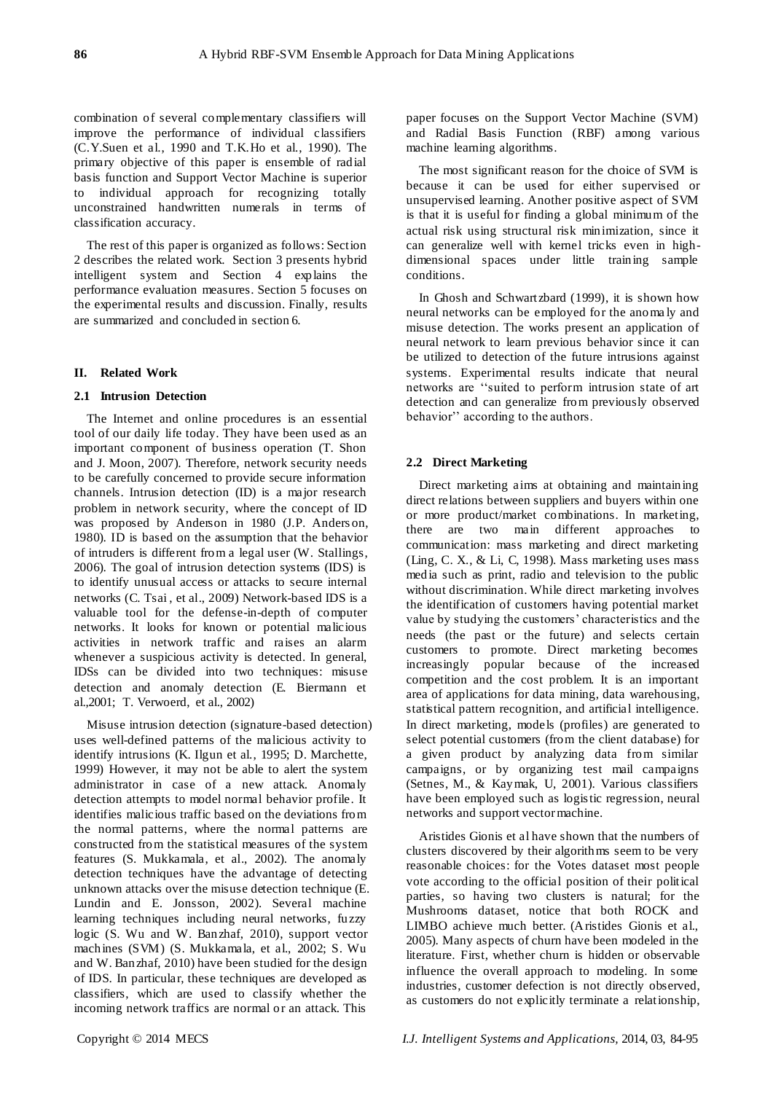combination of several complementary classifiers will improve the performance of individual classifiers (C.Y.Suen et al., 1990 and T.K.Ho et al., 1990). The primary objective of this paper is ensemble of radial basis function and Support Vector Machine is superior to individual approach for recognizing totally unconstrained handwritten numerals in terms of classification accuracy.

The rest of this paper is organized as follows: Section 2 describes the related work. Section 3 presents hybrid intelligent system and Section 4 explains the performance evaluation measures. Section 5 focuses on the experimental results and discussion. Finally, results are summarized and concluded in section 6.

# **II. Related Work**

## **2.1 Intrusion Detection**

The Internet and online procedures is an essential tool of our daily life today. They have been used as an important component of business operation (T. Shon and J. Moon, 2007). Therefore, network security needs to be carefully concerned to provide secure information channels. Intrusion detection (ID) is a major research problem in network security, where the concept of ID was proposed by Anderson in 1980 (J.P. Anders on, 1980). ID is based on the assumption that the behavior of intruders is different from a legal user (W. Stallings, 2006). The goal of intrusion detection systems (IDS) is to identify unusual access or attacks to secure internal networks (C. Tsai , et al., 2009) Network-based IDS is a valuable tool for the defense-in-depth of computer networks. It looks for known or potential malicious activities in network traffic and raises an alarm whenever a suspicious activity is detected. In general, IDSs can be divided into two techniques: misuse detection and anomaly detection (E. Biermann et al.,2001; T. Verwoerd, et al., 2002)

Misuse intrusion detection (signature-based detection) uses well-defined patterns of the malicious activity to identify intrusions (K. Ilgun et al., 1995; D. Marchette, 1999) However, it may not be able to alert the system administrator in case of a new attack. Anomaly detection attempts to model normal behavior profile. It identifies malicious traffic based on the deviations from the normal patterns, where the normal patterns are constructed from the statistical measures of the system features (S. Mukkamala, et al., 2002). The anomaly detection techniques have the advantage of detecting unknown attacks over the misuse detection technique (E. Lundin and E. Jonsson, 2002). Several machine learning techniques including neural networks, fuzzy logic (S. Wu and W. Banzhaf, 2010), support vector machines (SVM) (S. Mukkamala, et al., 2002; S. Wu and W. Banzhaf, 2010) have been studied for the design of IDS. In particular, these techniques are developed as classifiers, which are used to classify whether the incoming network traffics are normal or an attack. This

paper focuses on the Support Vector Machine (SVM) and Radial Basis Function (RBF) among various machine learning algorithms.

The most significant reason for the choice of SVM is because it can be used for either supervised or unsupervised learning. Another positive aspect of SVM is that it is useful for finding a global minimum of the actual risk using structural risk minimization, since it can generalize well with kernel tricks even in highdimensional spaces under little training sample conditions.

In Ghosh and Schwartzbard (1999), it is shown how neural networks can be employed for the anoma ly and misuse detection. The works present an application of neural network to learn previous behavior since it can be utilized to detection of the future intrusions against systems. Experimental results indicate that neural networks are "suited to perform intrusion state of art detection and can generalize from previously observed behavior'' according to the authors.

# **2.2 Direct Marketing**

Direct marketing aims at obtaining and maintaining direct relations between suppliers and buyers within one or more product/market combinations. In marketing, there are two main different approaches to communication: mass marketing and direct marketing (Ling, C. X., & Li, C, 1998). Mass marketing uses mass media such as print, radio and television to the public without discrimination. While direct marketing involves the identification of customers having potential market value by studying the customers' characteristics and the needs (the past or the future) and selects certain customers to promote. Direct marketing becomes increasingly popular because of the increased competition and the cost problem. It is an important area of applications for data mining, data warehousing, statistical pattern recognition, and artificial intelligence. In direct marketing, models (profiles) are generated to select potential customers (from the client database) for a given product by analyzing data from similar campaigns, or by organizing test mail campaigns (Setnes, M., & Kaymak, U, 2001). Various classifiers have been employed such as logistic regression, neural networks and support vector machine.

Aristides Gionis et al have shown that the numbers of clusters discovered by their algorithms seem to be very reasonable choices: for the Votes dataset most people vote according to the official position of their political parties, so having two clusters is natural; for the Mushrooms dataset, notice that both ROCK and LIMBO achieve much better. (Aristides Gionis et al., 2005). Many aspects of churn have been modeled in the literature. First, whether churn is hidden or observable influence the overall approach to modeling. In some industries, customer defection is not directly observed, as customers do not explicitly terminate a relationship,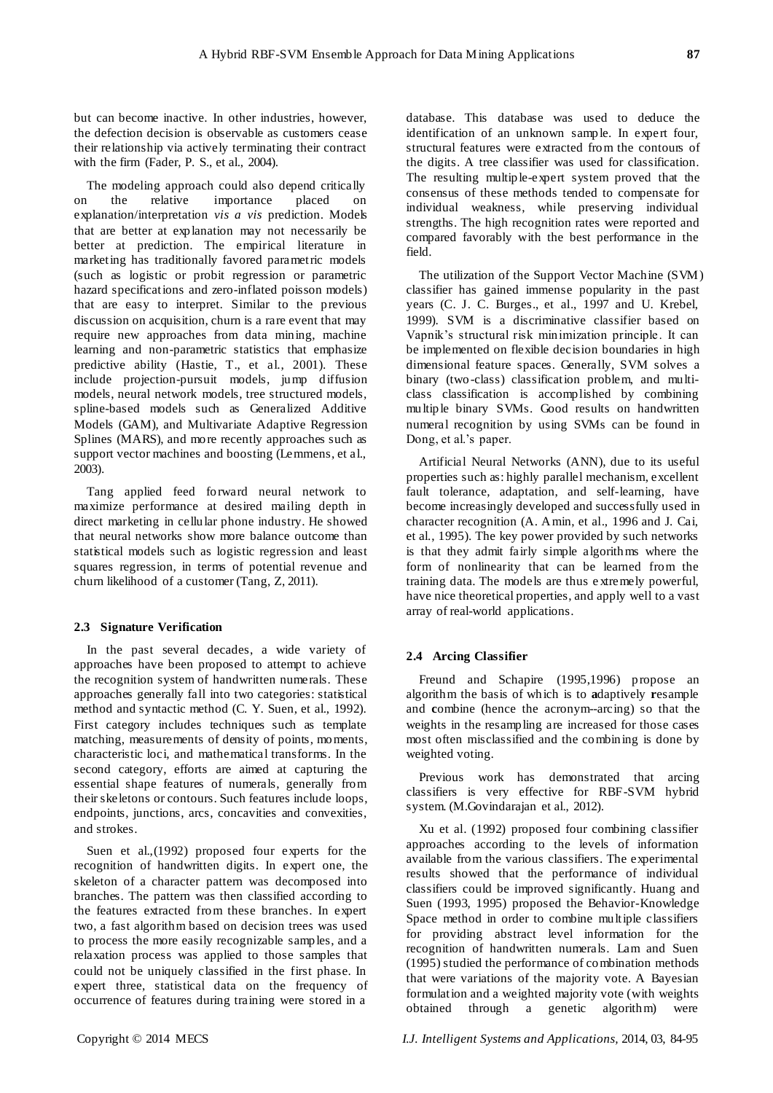but can become inactive. In other industries, however, the defection decision is observable as customers cease their relationship via actively terminating their contract with the firm (Fader, P. S., et al., 2004).

The modeling approach could also depend critically on the relative importance placed on explanation/interpretation *vis a vis* prediction. Models that are better at explanation may not necessarily be better at prediction. The empirical literature in marketing has traditionally favored parametric models (such as logistic or probit regression or parametric hazard specifications and zero-inflated poisson models) that are easy to interpret. Similar to the previous discussion on acquisition, churn is a rare event that may require new approaches from data mining, machine learning and non-parametric statistics that emphasize predictive ability (Hastie, T., et al., 2001). These include projection-pursuit models, jump diffusion models, neural network models, tree structured models, spline-based models such as Generalized Additive Models (GAM), and Multivariate Adaptive Regression Splines (MARS), and more recently approaches such as support vector machines and boosting (Lemmens, et al., 2003).

Tang applied feed forward neural network to maximize performance at desired mailing depth in direct marketing in cellular phone industry. He showed that neural networks show more balance outcome than statistical models such as logistic regression and least squares regression, in terms of potential revenue and churn likelihood of a customer (Tang, Z, 2011).

# **2.3 Signature Verification**

In the past several decades, a wide variety of approaches have been proposed to attempt to achieve the recognition system of handwritten numerals. These approaches generally fall into two categories: statistical method and syntactic method (C. Y. Suen, et al., 1992). First category includes techniques such as template matching, measurements of density of points, moments, characteristic loci, and mathematical transforms. In the second category, efforts are aimed at capturing the essential shape features of numerals, generally from their skeletons or contours. Such features include loops, endpoints, junctions, arcs, concavities and convexities, and strokes.

Suen et al.,(1992) proposed four experts for the recognition of handwritten digits. In expert one, the skeleton of a character pattern was decomposed into branches. The pattern was then classified according to the features extracted from these branches. In expert two, a fast algorithm based on decision trees was used to process the more easily recognizable samples, and a relaxation process was applied to those samples that could not be uniquely classified in the first phase. In expert three, statistical data on the frequency of occurrence of features during training were stored in a

database. This database was used to deduce the identification of an unknown sample. In expert four, structural features were extracted from the contours of the digits. A tree classifier was used for classification. The resulting multiple-expert system proved that the consensus of these methods tended to compensate for individual weakness, while preserving individual strengths. The high recognition rates were reported and compared favorably with the best performance in the field.

The utilization of the Support Vector Machine (SVM) classifier has gained immense popularity in the past years (C. J. C. Burges., et al., 1997 and U. Krebel, 1999). SVM is a discriminative classifier based on Vapnik's structural risk minimization principle. It can be implemented on flexible decision boundaries in high dimensional feature spaces. Generally, SVM solves a binary (two -class) classification problem, and multiclass classification is accomplished by combining multiple binary SVMs. Good results on handwritten numeral recognition by using SVMs can be found in Dong, et al.'s paper.

Artificial Neural Networks (ANN), due to its useful properties such as: highly parallel mechanism, excellent fault tolerance, adaptation, and self-learning, have become increasingly developed and successfully used in character recognition (A. Amin, et al., 1996 and J. Cai, et al., 1995). The key power provided by such networks is that they admit fairly simple algorithms where the form of nonlinearity that can be learned from the training data. The models are thus e xtremely powerful, have nice theoretical properties, and apply well to a vast array of real-world applications.

# **2.4 Arcing Classifier**

Freund and Schapire (1995,1996) propose an algorithm the basis of which is to **a**daptively **r**esample and **c**ombine (hence the acronym--arcing) so that the weights in the resampling are increased for those cases most often misclassified and the combining is done by weighted voting.

Previous work has demonstrated that arcing classifiers is very effective for RBF-SVM hybrid system. (M.Govindarajan et al., 2012).

Xu et al. (1992) proposed four combining classifier approaches according to the levels of information available from the various classifiers. The experimental results showed that the performance of individual classifiers could be improved significantly. Huang and Suen (1993, 1995) proposed the Behavior-Knowledge Space method in order to combine multiple classifiers for providing abstract level information for the recognition of handwritten numerals. Lam and Suen (1995) studied the performance of combination methods that were variations of the majority vote. A Bayesian formulation and a weighted majority vote (with weights obtained through a genetic algorithm) were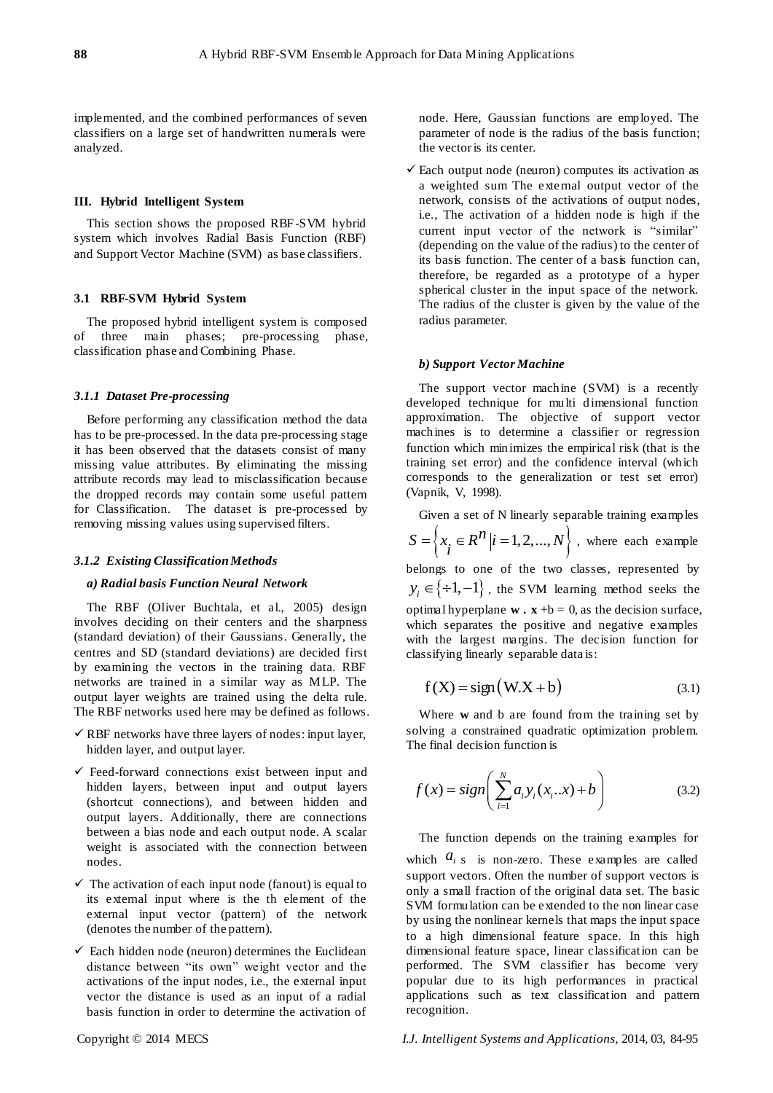implemented, and the combined performances of seven classifiers on a large set of handwritten numerals were analyzed.

# **III. Hybrid Intelligent System**

This section shows the proposed RBF-SVM hybrid system which involves Radial Basis Function (RBF) and Support Vector Machine (SVM) as base classifiers.

# **3.1 RBF-SVM Hybrid System**

The proposed hybrid intelligent system is composed of three main phases; pre-processing phase, classification phase and Combining Phase.

# *3.1.1 Dataset Pre-processing*

Before performing any classification method the data has to be pre-processed. In the data pre-processing stage it has been observed that the datasets consist of many missing value attributes. By eliminating the missing attribute records may lead to misclassification because the dropped records may contain some useful pattern for Classification. The dataset is pre-processed by removing missing values using supervised filters.

# *3.1.2 Existing Classification Methods*

# *a) Radial basis Function Neural Network*

The RBF (Oliver Buchtala, et al., 2005) design involves deciding on their centers and the sharpness (standard deviation) of their Gaussians. Generally, the centres and SD (standard deviations) are decided first by examining the vectors in the training data. RBF networks are trained in a similar way as MLP. The output layer weights are trained using the delta rule. The RBF networks used here may be defined as follows.

- $\checkmark$  RBF networks have three layers of nodes: input layer, hidden layer, and output layer.
- $\checkmark$  Feed-forward connections exist between input and hidden layers, between input and output layers (shortcut connections), and between hidden and output layers. Additionally, there are connections between a bias node and each output node. A scalar weight is associated with the connection between nodes.
- $\checkmark$  The activation of each input node (fanout) is equal to its external input where is the th element of the external input vector (pattern) of the network (denotes the number of the pattern).
- $\checkmark$  Each hidden node (neuron) determines the Euclidean distance between "its own" weight vector and the activations of the input nodes, i.e., the external input vector the distance is used as an input of a radial basis function in order to determine the activation of

node. Here, Gaussian functions are employed. The parameter of node is the radius of the basis function; the vector is its center.

 $\checkmark$  Each output node (neuron) computes its activation as a weighted sum The external output vector of the network, consists of the activations of output nodes, i.e., The activation of a hidden node is high if the current input vector of the network is "similar" (depending on the value of the radius) to the center of its basis function. The center of a basis function can, therefore, be regarded as a prototype of a hyper spherical cluster in the input space of the network. The radius of the cluster is given by the value of the radius parameter.

# *b) Support Vector Machine*

The support vector machine (SVM) is a recently developed technique for multi dimensional function approximation. The objective of support vector machines is to determine a classifier or regression function which minimizes the empirical risk (that is the training set error) and the confidence interval (which corresponds to the generalization or test set error) (Vapnik, V, 1998).

Given a set of N linearly separable training examples  $S = \left\{ x_i \in \mathbb{R}^n \middle| i = 1, 2, ..., N \right\}$ , where each example belongs to one of the two classes, represented by

 $y_i \in \{ \div 1, -1 \}$ , the SVM learning method seeks the optimal hyperplane  $\mathbf{w} \cdot \mathbf{x} + \mathbf{b} = 0$ , as the decision surface, which separates the positive and negative examples with the largest margins. The decision function for classifying linearly separable data is:

$$
f(X) = sign(W.X + b)
$$
 (3.1)

Where **w** and b are found from the training set by solving a constrained quadratic optimization problem. The final decision function is

$$
f(x) = sign\left(\sum_{i=1}^{N} a_i y_i(x_i...x) + b\right)
$$
\n(3.2)

The function depends on the training examples for

which  $a_i$  is non-zero. These examples are called support vectors. Often the number of support vectors is only a small fraction of the original data set. The basic SVM formulation can be extended to the non linear case by using the nonlinear kernels that maps the input space to a high dimensional feature space. In this high dimensional feature space, linear classification can be performed. The SVM classifier has become very popular due to its high performances in practical applications such as text classification and pattern recognition.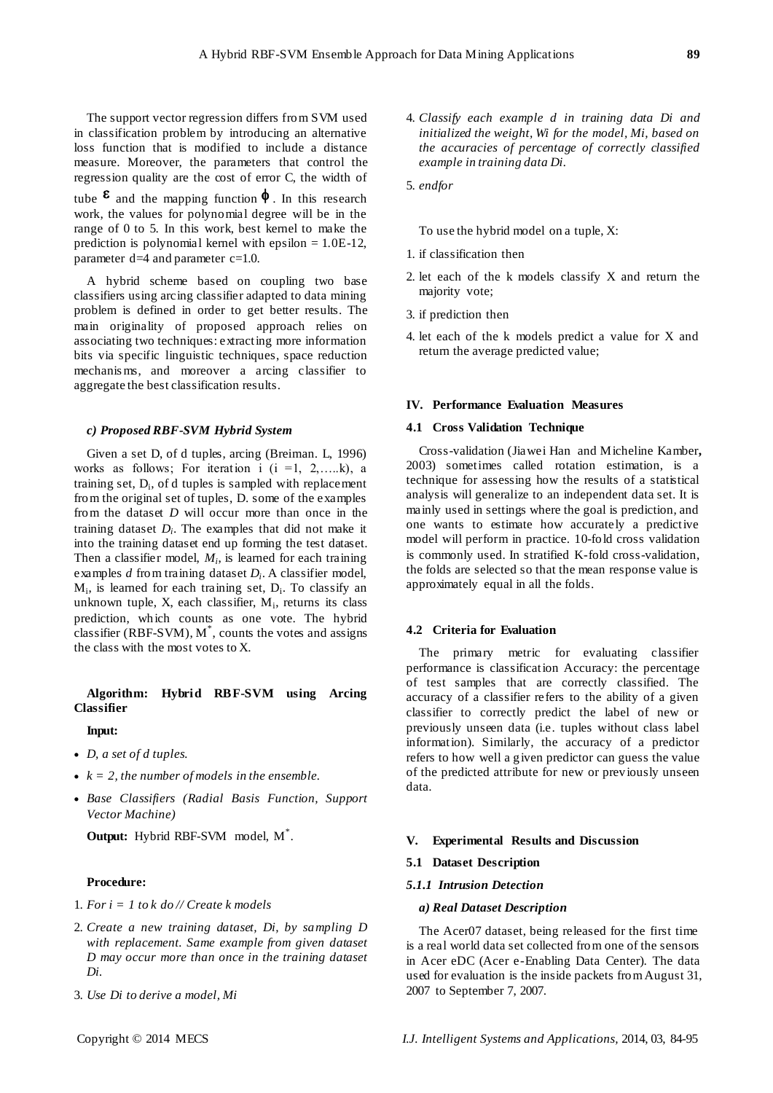The support vector regression differs from SVM used in classification problem by introducing an alternative loss function that is modified to include a distance measure. Moreover, the parameters that control the regression quality are the cost of error C, the width of tube  $\epsilon$  and the mapping function  $\phi$ . In this research work, the values for polynomial degree will be in the range of 0 to 5. In this work, best kernel to make the prediction is polynomial kernel with epsilon  $= 1.0E-12$ , parameter d=4 and parameter c=1.0.

A hybrid scheme based on coupling two base classifiers using arcing classifier adapted to data mining problem is defined in order to get better results. The main originality of proposed approach relies on associating two techniques: extracting more information bits via specific linguistic techniques, space reduction mechanis ms, and moreover a arcing classifier to aggregate the best classification results.

## *c) Proposed RBF-SVM Hybrid System*

Given a set D, of d tuples, arcing (Breiman. L, 1996) works as follows; For iteration i  $(i = 1, 2, \ldots, k)$ , a training set,  $D_i$ , of d tuples is sampled with replacement from the original set of tuples, D. some of the examples from the dataset *D* will occur more than once in the training dataset *D<sup>i</sup>* . The examples that did not make it into the training dataset end up forming the test dataset. Then a classifier model, *M<sup>i</sup>* , is learned for each training examples *d* from training dataset *D<sup>i</sup>* . A classifier model,  $M_i$ , is learned for each training set,  $D_i$ . To classify an unknown tuple,  $X$ , each classifier,  $M_i$ , returns its class prediction, which counts as one vote. The hybrid classifier (RBF-SVM), M\* , counts the votes and assigns the class with the most votes to X.

# **Algorithm: Hybrid RBF-SVM using Arcing Classifier**

**Input:**

- *D, a set of d tuples.*
- $k = 2$ , the number of models in the ensemble.
- *Base Classifiers (Radial Basis Function, Support Vector Machine)*

**Output:** Hybrid RBF-SVM model, M\* .

## **Procedure:**

- 1. *For i = 1 to k do // Create k models*
- 2. *Create a new training dataset, Di, by sampling D with replacement. Same example from given dataset D may occur more than once in the training dataset Di.*
- 3. *Use Di to derive a model, Mi*
- 4. *Classify each example d in training data Di and initialized the weight, Wi for the model, Mi, based on the accuracies of percentage of correctly classified example in training data Di.*
- 5. *endfor*

To use the hybrid model on a tuple, X:

- 1. if classification then
- 2. let each of the k models classify X and return the majority vote;
- 3. if prediction then
- 4. let each of the k models predict a value for X and return the average predicted value;

# **IV. Performance Evaluation Measures**

# **4.1 Cross Validation Technique**

Cross-validation (Jiawei Han and Micheline Kamber**,**  2003) sometimes called rotation estimation, is a technique for assessing how the results of a statistical analysis will generalize to an independent data set. It is mainly used in settings where the goal is prediction, and one wants to estimate how accurately a predictive model will perform in practice. 10-fold cross validation is commonly used. In stratified K-fold cross-validation, the folds are selected so that the mean response value is approximately equal in all the folds.

# **4.2 Criteria for Evaluation**

The primary metric for evaluating classifier performance is classification Accuracy: the percentage of test samples that are correctly classified. The accuracy of a classifier refers to the ability of a given classifier to correctly predict the label of new or previously unseen data (i.e. tuples without class label information). Similarly, the accuracy of a predictor refers to how well a given predictor can guess the value of the predicted attribute for new or previously unseen data.

#### **V. Experimental Results and Discussion**

# **5.1 Dataset Description**

# *5.1.1 Intrusion Detection*

#### *a) Real Dataset Description*

The Acer07 dataset, being released for the first time is a real world data set collected from one of the sensors in Acer eDC (Acer e-Enabling Data Center). The data used for evaluation is the inside packets from August 31, 2007 to September 7, 2007.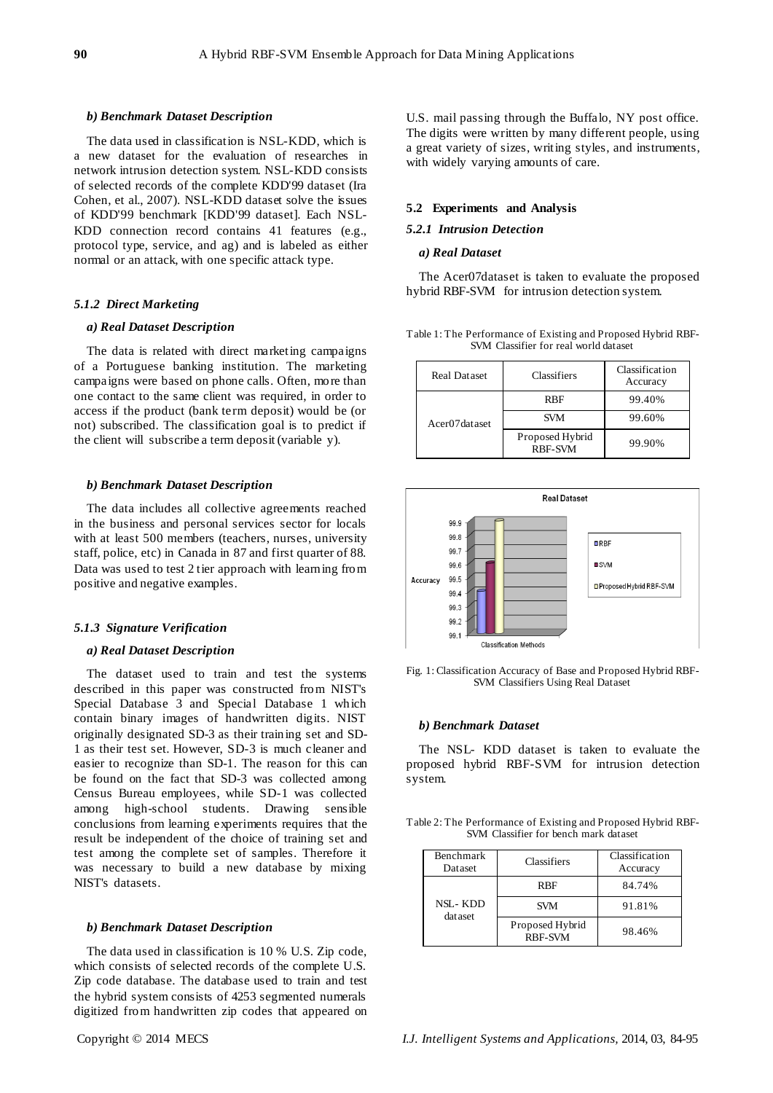## *b) Benchmark Dataset Description*

The data used in classification is NSL-KDD, which is a new dataset for the evaluation of researches in network intrusion detection system. NSL-KDD consists of selected records of the complete KDD'99 dataset (Ira Cohen, et al., 2007). NSL-KDD dataset solve the issues of KDD'99 benchmark [KDD'99 dataset]. Each NSL-KDD connection record contains 41 features (e.g., protocol type, service, and ag) and is labeled as either normal or an attack, with one specific attack type.

# *5.1.2 Direct Marketing*

#### *a) Real Dataset Description*

The data is related with direct marketing campaigns of a Portuguese banking institution. The marketing campaigns were based on phone calls. Often, more than one contact to the same client was required, in order to access if the product (bank term deposit) would be (or not) subscribed. The classification goal is to predict if the client will subscribe a term deposit (variable y).

## *b) Benchmark Dataset Description*

The data includes all collective agreements reached in the business and personal services sector for locals with at least 500 members (teachers, nurses, university staff, police, etc) in Canada in 87 and first quarter of 88. Data was used to test 2 tier approach with learning from positive and negative examples.

#### *5.1.3 Signature Verification*

## *a) Real Dataset Description*

The dataset used to train and test the systems described in this paper was constructed from NIST's Special Database 3 and Special Database 1 which contain binary images of handwritten digits. NIST originally designated SD-3 as their training set and SD-1 as their test set. However, SD-3 is much cleaner and easier to recognize than SD-1. The reason for this can be found on the fact that SD-3 was collected among Census Bureau employees, while SD-1 was collected among high-school students. Drawing sensible conclusions from learning experiments requires that the result be independent of the choice of training set and test among the complete set of samples. Therefore it was necessary to build a new database by mixing NIST's datasets.

## *b) Benchmark Dataset Description*

The data used in classification is 10 % U.S. Zip code, which consists of selected records of the complete U.S. Zip code database. The database used to train and test the hybrid system consists of 4253 segmented numerals digitized from handwritten zip codes that appeared on

U.S. mail passing through the Buffalo, NY post office. The digits were written by many different people, using a great variety of sizes, writing styles, and instruments, with widely varying amounts of care.

## **5.2 Experiments and Analysis**

# *5.2.1 Intrusion Detection*

## *a) Real Dataset*

The Acer07dataset is taken to evaluate the proposed hybrid RBF-SVM for intrusion detection system.

Table 1: The Performance of Existing and Proposed Hybrid RBF-SVM Classifier for real world dataset

| <b>Real Dataset</b>        | Classifiers                       | Classification<br>Accuracy |
|----------------------------|-----------------------------------|----------------------------|
| Acer <sub>07</sub> dataset | <b>RBF</b>                        | 99.40%                     |
|                            | <b>SVM</b>                        | 99.60%                     |
|                            | Proposed Hybrid<br><b>RBF-SVM</b> | 99.90%                     |



Fig. 1: Classification Accuracy of Base and Proposed Hybrid RBF-SVM Classifiers Using Real Dataset

## *b) Benchmark Dataset*

The NSL- KDD dataset is taken to evaluate the proposed hybrid RBF-SVM for intrusion detection system.

Table 2: The Performance of Existing and Proposed Hybrid RBF-SVM Classifier for bench mark dataset

| Benchmark<br>Dataset      | Classifiers                       | Classification<br>Accuracy |
|---------------------------|-----------------------------------|----------------------------|
| <b>NSL-KDD</b><br>dataset | <b>RBF</b>                        | 84.74%                     |
|                           | <b>SVM</b>                        | 91.81%                     |
|                           | Proposed Hybrid<br><b>RBF-SVM</b> | 98.46%                     |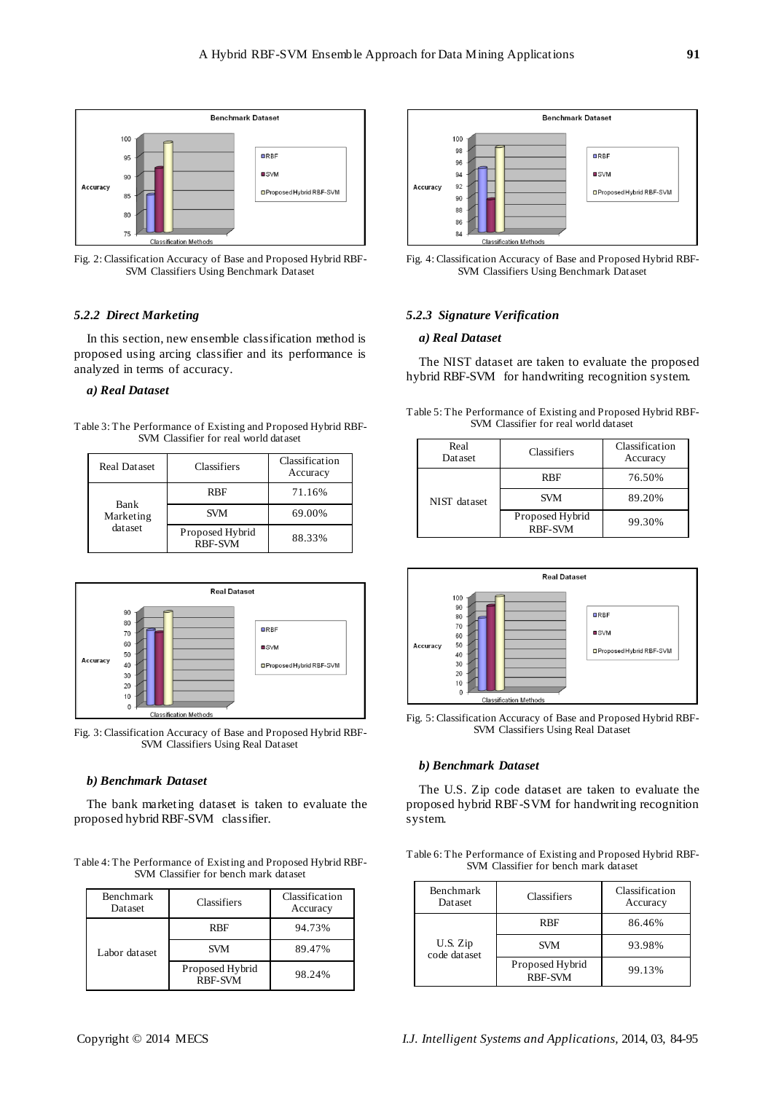

Fig. 2: Classification Accuracy of Base and Proposed Hybrid RBF-SVM Classifiers Using Benchmark Dataset

# *5.2.2 Direct Marketing*

In this section, new ensemble classification method is proposed using arcing classifier and its performance is analyzed in terms of accuracy.

Table 3: The Performance of Existing and Proposed Hybrid RBF-SVM Classifier for real world dataset

# *a) Real Dataset*

| <b>Real Dataset</b>          | Classifiers                       | Classification<br>Accuracy |
|------------------------------|-----------------------------------|----------------------------|
| Bank<br>Marketing<br>dataset | <b>RBF</b>                        | 71.16%                     |
|                              | <b>SVM</b>                        | 69.00%                     |
|                              | Proposed Hybrid<br><b>RBF-SVM</b> | 88.33%                     |



Fig. 3: Classification Accuracy of Base and Proposed Hybrid RBF-SVM Classifiers Using Real Dataset

# *b) Benchmark Dataset*

The bank marketing dataset is taken to evaluate the proposed hybrid RBF-SVM classifier.

| Table 4: The Performance of Existing and Proposed Hybrid RBF- |  |                                       |  |
|---------------------------------------------------------------|--|---------------------------------------|--|
|                                                               |  | SVM Classifier for bench mark dataset |  |

| Benchmark<br>Dataset | Classifiers                       | Classification<br>Accuracy |
|----------------------|-----------------------------------|----------------------------|
| Labor dataset        | RBF                               | 94.73%                     |
|                      | <b>SVM</b>                        | 89.47%                     |
|                      | Proposed Hybrid<br><b>RBF-SVM</b> | 98.24%                     |





# *5.2.3 Signature Verification*

# *a) Real Dataset*

The NIST dataset are taken to evaluate the proposed hybrid RBF-SVM for handwriting recognition system.

| Table 5: The Performance of Existing and Proposed Hybrid RBF- |                                       |  |  |
|---------------------------------------------------------------|---------------------------------------|--|--|
|                                                               | SVM Classifier for real world dataset |  |  |

| Real<br>Dataset | Classifiers                       | Classification<br>Accuracy |
|-----------------|-----------------------------------|----------------------------|
| NIST dataset    | <b>RBF</b>                        | 76.50%                     |
|                 | <b>SVM</b>                        | 89.20%                     |
|                 | Proposed Hybrid<br><b>RBF-SVM</b> | 99.30%                     |



Fig. 5: Classification Accuracy of Base and Proposed Hybrid RBF-SVM Classifiers Using Real Dataset

# *b) Benchmark Dataset*

The U.S. Zip code dataset are taken to evaluate the proposed hybrid RBF-SVM for handwriting recognition system.

Table 6: The Performance of Existing and Proposed Hybrid RBF-SVM Classifier for bench mark dataset

| <b>Benchmark</b><br>Dataset | Classifiers                       | Classification<br>Accuracy |
|-----------------------------|-----------------------------------|----------------------------|
| U.S. Zip<br>code dataset    | RBF                               | 86.46%                     |
|                             | <b>SVM</b>                        | 93.98%                     |
|                             | Proposed Hybrid<br><b>RBF-SVM</b> | 99.13%                     |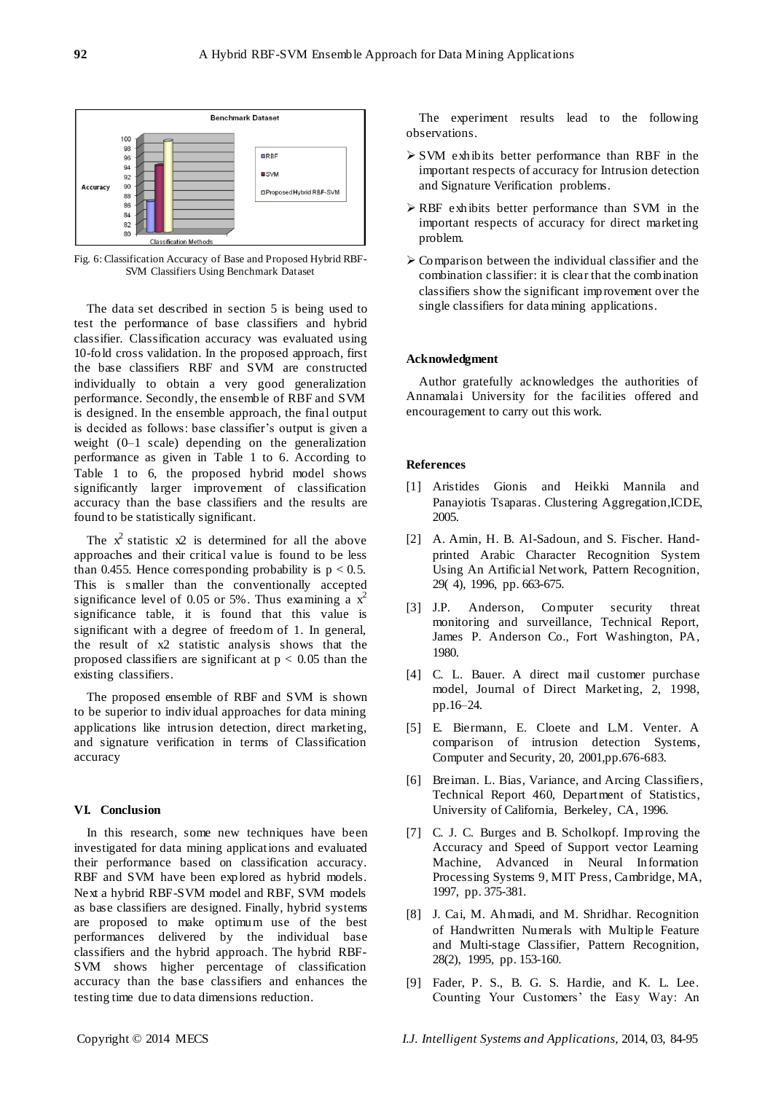

Fig. 6: Classification Accuracy of Base and Proposed Hybrid RBF-SVM Classifiers Using Benchmark Dataset

The data set described in section 5 is being used to test the performance of base classifiers and hybrid classifier. Classification accuracy was evaluated using 10-fold cross validation. In the proposed approach, first the base classifiers RBF and SVM are constructed individually to obtain a very good generalization performance. Secondly, the ensemble of RBF and SVM is designed. In the ensemble approach, the final output is decided as follows: base classifier's output is given a weight (0–1 scale) depending on the generalization performance as given in Table 1 to 6. According to Table 1 to 6, the proposed hybrid model shows significantly larger improvement of classification accuracy than the base classifiers and the results are found to be statistically significant.

The  $x^2$  statistic  $x^2$  is determined for all the above approaches and their critical value is found to be less than 0.455. Hence corresponding probability is  $p < 0.5$ . This is smaller than the conventionally accepted significance level of 0.05 or 5%. Thus examining a  $x^2$ significance table, it is found that this value is significant with a degree of freedom of 1. In general, the result of x2 statistic analysis shows that the proposed classifiers are significant at  $p < 0.05$  than the existing classifiers.

The proposed ensemble of RBF and SVM is shown to be superior to individual approaches for data mining applications like intrusion detection, direct marketing, and signature verification in terms of Classification accuracy

## **VI. Conclusion**

In this research, some new techniques have been investigated for data mining applications and evaluated their performance based on classification accuracy. RBF and SVM have been explored as hybrid models. Next a hybrid RBF-SVM model and RBF, SVM models as base classifiers are designed. Finally, hybrid systems are proposed to make optimum use of the best performances delivered by the individual base classifiers and the hybrid approach. The hybrid RBF-SVM shows higher percentage of classification accuracy than the base classifiers and enhances the testing time due to data dimensions reduction.

The experiment results lead to the following observations.

- $\triangleright$  SVM exhibits better performance than RBF in the important respects of accuracy for Intrusion detection and Signature Verification problems.
- RBF exhibits better performance than SVM in the important respects of accuracy for direct marketing problem.
- $\triangleright$  Comparison between the individual classifier and the combination classifier: it is clear that the combination classifiers show the significant improvement over the single classifiers for data mining applications.

#### **Acknowledgment**

Author gratefully acknowledges the authorities of Annamalai University for the facilities offered and encouragement to carry out this work.

# **References**

- [1] Aristides Gionis and Heikki Mannila and Panayiotis Tsaparas. Clustering Aggregation,ICDE, 2005.
- [2] A. Amin, H. B. Al-Sadoun, and S. Fischer. Handprinted Arabic Character Recognition System Using An Artificial Network, Pattern Recognition, 29( 4), 1996, pp. 663-675.
- [3] J.P. Anderson, Computer security threat monitoring and surveillance, Technical Report, James P. Anderson Co., Fort Washington, PA, 1980.
- [4] C. L. Bauer. A direct mail customer purchase model, Journal of Direct Marketing, 2, 1998, pp.16–24.
- [5] E. Biermann, E. Cloete and L.M. Venter. A comparison of intrusion detection Systems, Computer and Security, 20, 2001,pp.676-683.
- [6] Breiman. L. Bias, Variance, and Arcing Classifiers, Technical Report 460, Department of Statistics, University of California, Berkeley, CA, 1996.
- [7] C. J. C. Burges and B. Scholkopf. Improving the Accuracy and Speed of Support vector Learning Machine, Advanced in Neural Information Processing Systems 9, MIT Press, Cambridge, MA, 1997, pp. 375-381.
- [8] J. Cai, M. Ahmadi, and M. Shridhar. Recognition of Handwritten Numerals with Multiple Feature and Multi-stage Classifier, Pattern Recognition, 28(2), 1995, pp. 153-160.
- [9] Fader, P. S., B. G. S. Hardie, and K. L. Lee. Counting Your Customers' the Easy Way: An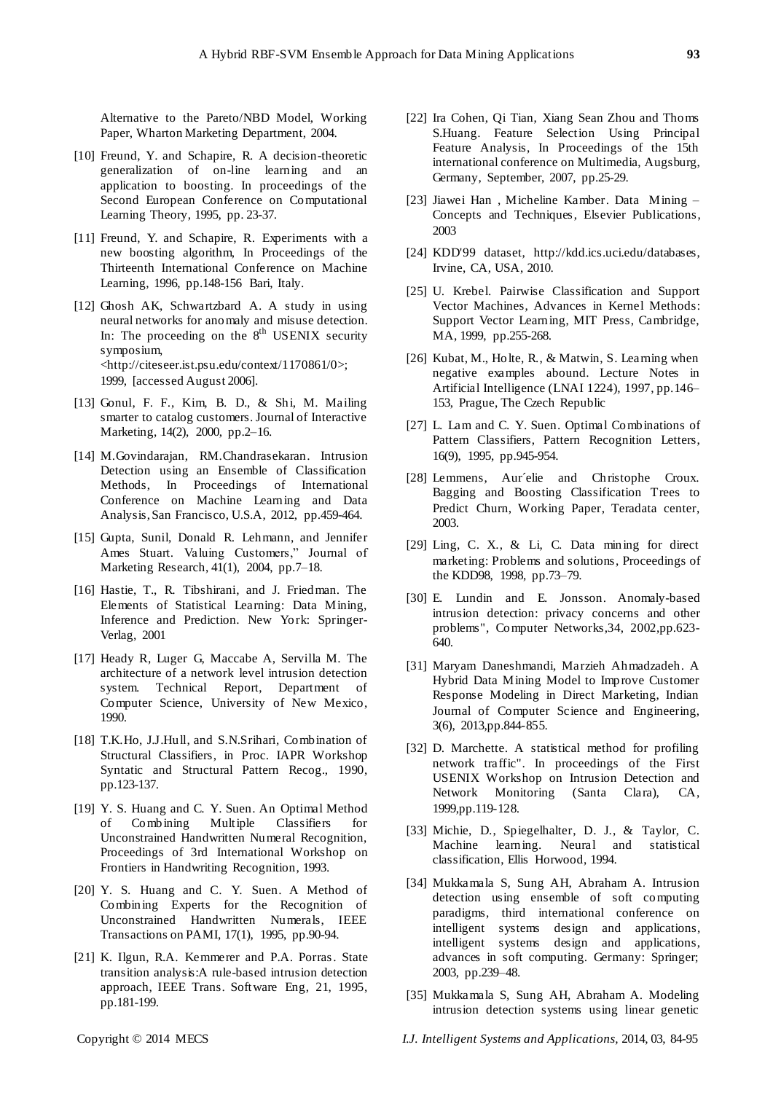Alternative to the Pareto/NBD Model, Working Paper, Wharton Marketing Department, 2004.

- [10] Freund, Y. and Schapire, R. A decision-theoretic generalization of on-line learning and an application to boosting. In proceedings of the Second European Conference on Computational Learning Theory, 1995, pp. 23-37.
- [11] Freund, Y. and Schapire, R. Experiments with a new boosting algorithm, In Proceedings of the Thirteenth International Conference on Machine Learning, 1996, pp.148-156 Bari, Italy.
- [12] Ghosh AK, Schwartzbard A. A study in using neural networks for anomaly and misuse detection. In: The proceeding on the  $8<sup>th</sup>$  USENIX security symposium, <http://citeseer.ist.psu.edu/context/1170861/0>; 1999, [accessed August 2006].
- [13] Gonul, F. F., Kim, B. D., & Shi, M. Mailing smarter to catalog customers. Journal of Interactive Marketing, 14(2), 2000, pp.2–16.
- [14] M.Govindarajan, RM.Chandrasekaran. Intrusion Detection using an Ensemble of Classification Methods, In Proceedings of International Conference on Machine Learning and Data Analysis, San Francisco, U.S.A, 2012, pp.459-464.
- [15] Gupta, Sunil, Donald R. Lehmann, and Jennifer Ames Stuart. Valuing Customers," Journal of Marketing Research, 41(1), 2004, pp.7–18.
- [16] Hastie, T., R. Tibshirani, and J. Friedman. The Elements of Statistical Learning: Data Mining, Inference and Prediction. New York: Springer-Verlag, 2001
- [17] Heady R, Luger G, Maccabe A, Servilla M. The architecture of a network level intrusion detection system. Technical Report, Department of Computer Science, University of New Mexico, 1990.
- [18] T.K.Ho, J.J.Hull, and S.N.Srihari, Combination of Structural Classifiers, in Proc. IAPR Workshop Syntatic and Structural Pattern Recog., 1990, pp.123-137.
- [19] Y. S. Huang and C. Y. Suen. An Optimal Method of Combining Multiple Classifiers for Unconstrained Handwritten Numeral Recognition, Proceedings of 3rd International Workshop on Frontiers in Handwriting Recognition, 1993.
- [20] Y. S. Huang and C. Y. Suen. A Method of Combining Experts for the Recognition of Unconstrained Handwritten Numerals, IEEE Transactions on PAMI, 17(1), 1995, pp.90-94.
- [21] K. Ilgun, R.A. Kemmerer and P.A. Porras. State transition analysis:A rule-based intrusion detection approach, IEEE Trans. Software Eng, 21, 1995, pp.181-199.
- [22] Ira Cohen, Qi Tian, Xiang Sean Zhou and Thoms S.Huang. Feature Selection Using Principal Feature Analysis, In Proceedings of the 15th international conference on Multimedia, Augsburg, Germany, September, 2007, pp.25-29.
- [23] Jiawei Han , Micheline Kamber. Data Mining Concepts and Techniques, Elsevier Publications, 2003
- [24] KDD'99 dataset, http://kdd.ics.uci.edu/databases, Irvine, CA, USA, 2010.
- [25] U. Krebel. Pairwise Classification and Support Vector Machines, Advances in Kernel Methods: Support Vector Learning, MIT Press, Cambridge, MA, 1999, pp.255-268.
- [26] Kubat, M., Holte, R., & Matwin, S. Learning when negative examples abound. Lecture Notes in Artificial Intelligence (LNAI 1224), 1997, pp.146– 153, Prague, The Czech Republic
- [27] L. Lam and C. Y. Suen. Optimal Combinations of Pattern Classifiers, Pattern Recognition Letters, 16(9), 1995, pp.945-954.
- [28] Lemmens, Aurélie and Christophe Croux. Bagging and Boosting Classification Trees to Predict Churn, Working Paper, Teradata center, 2003.
- [29] Ling, C. X., & Li, C. Data mining for direct marketing: Problems and solutions, Proceedings of the KDD98, 1998, pp.73–79.
- [30] E. Lundin and E. Jonsson. Anomaly-based intrusion detection: privacy concerns and other problems", Computer Networks,34, 2002,pp.623- 640.
- [31] Maryam Daneshmandi, Marzieh Ahmadzadeh. A Hybrid Data Mining Model to Improve Customer Response Modeling in Direct Marketing, Indian Journal of Computer Science and Engineering, 3(6), 2013,pp.844-855.
- [32] D. Marchette. A statistical method for profiling network traffic". In proceedings of the First USENIX Workshop on Intrusion Detection and Network Monitoring (Santa Clara), CA, 1999,pp.119-128.
- [33] Michie, D., Spiegelhalter, D. J., & Taylor, C. Machine learning. Neural and statistical classification, Ellis Horwood, 1994.
- [34] Mukkamala S, Sung AH, Abraham A. Intrusion detection using ensemble of soft computing paradigms, third international conference on intelligent systems design and applications, intelligent systems design and applications, advances in soft computing. Germany: Springer; 2003, pp.239–48.
- [35] Mukkamala S, Sung AH, Abraham A. Modeling intrusion detection systems using linear genetic

Copyright © 2014 MECS *I.J. Intelligent Systems and Applications,* 2014, 03, 84-95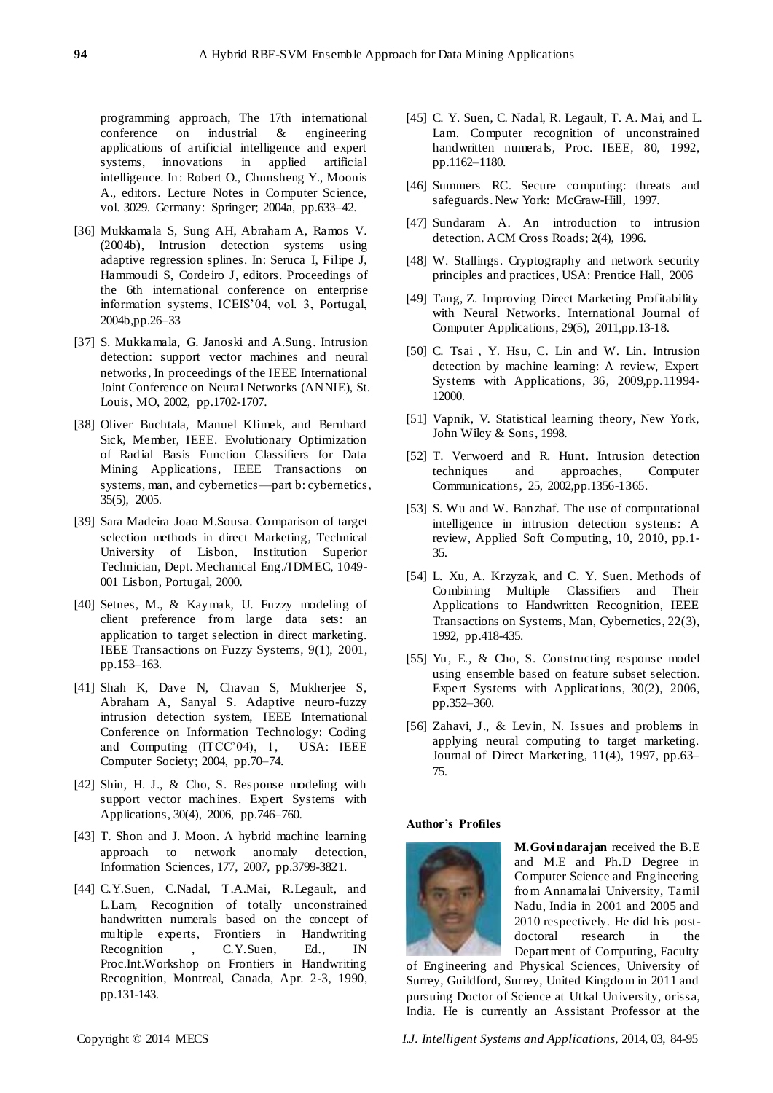programming approach, The 17th international conference on industrial & engineering applications of artificial intelligence and expert systems, innovations in applied artificial intelligence. In: Robert O., Chunsheng Y., Moonis A., editors. Lecture Notes in Computer Science, vol. 3029. Germany: Springer; 2004a, pp.633–42.

- [36] Mukkamala S, Sung AH, Abraham A, Ramos V. (2004b), Intrusion detection systems using adaptive regression splines. In: Seruca I, Filipe J, Hammoudi S, Cordeiro J, editors. Proceedings of the 6th international conference on enterprise information systems, ICEIS'04, vol. 3, Portugal, 2004b,pp.26–33
- [37] S. Mukkamala, G. Janoski and A.Sung. Intrusion detection: support vector machines and neural networks, In proceedings of the IEEE International Joint Conference on Neural Networks (ANNIE), St. Louis, MO, 2002, pp.1702-1707.
- [38] Oliver Buchtala, Manuel Klimek, and Bernhard Sick, Member, IEEE. Evolutionary Optimization of Radial Basis Function Classifiers for Data Mining Applications, IEEE Transactions on systems, man, and cybernetics—part b: cybernetics, 35(5), 2005.
- [39] Sara Madeira Joao M.Sousa. Comparison of target selection methods in direct Marketing, Technical University of Lisbon, Institution Superior Technician, Dept. Mechanical Eng./IDMEC, 1049- 001 Lisbon, Portugal, 2000.
- [40] Setnes, M., & Kaymak, U. Fuzzy modeling of client preference from large data sets: an application to target selection in direct marketing. IEEE Transactions on Fuzzy Systems, 9(1), 2001, pp.153–163.
- [41] Shah K, Dave N, Chavan S, Mukherjee S, Abraham A, Sanyal S. Adaptive neuro-fuzzy intrusion detection system, IEEE International Conference on Information Technology: Coding and Computing (ITCC'04), 1, USA: IEEE Computer Society; 2004, pp.70–74.
- [42] Shin, H. J., & Cho, S. Response modeling with support vector machines. Expert Systems with Applications, 30(4), 2006, pp.746–760.
- [43] T. Shon and J. Moon. A hybrid machine learning approach to network anomaly detection, Information Sciences, 177, 2007, pp.3799-3821.
- [44] C.Y.Suen, C.Nadal, T.A.Mai, R.Legault, and L.Lam, Recognition of totally unconstrained handwritten numerals based on the concept of multiple experts, Frontiers in Handwriting Recognition , C.Y.Suen, Ed., IN Proc.Int.Workshop on Frontiers in Handwriting Recognition, Montreal, Canada, Apr. 2-3, 1990, pp.131-143.
- [45] C. Y. Suen, C. Nadal, R. Legault, T. A. Mai, and L. Lam. Computer recognition of unconstrained handwritten numerals, Proc. IEEE, 80, 1992, pp.1162–1180.
- [46] Summers RC. Secure computing: threats and safeguards. New York: McGraw-Hill, 1997.
- [47] Sundaram A. An introduction to intrusion detection. ACM Cross Roads; 2(4), 1996.
- [48] W. Stallings. Cryptography and network security principles and practices, USA: Prentice Hall, 2006
- [49] Tang, Z. Improving Direct Marketing Profitability with Neural Networks. International Journal of Computer Applications, 29(5), 2011,pp.13-18.
- [50] C. Tsai , Y. Hsu, C. Lin and W. Lin. Intrusion detection by machine learning: A review, Expert Systems with Applications, 36, 2009,pp.11994- 12000.
- [51] Vapnik, V. Statistical learning theory, New York, John Wiley & Sons, 1998.
- [52] T. Verwoerd and R. Hunt. Intrusion detection techniques and approaches, Computer Communications, 25, 2002,pp.1356-1365.
- [53] S. Wu and W. Banzhaf. The use of computational intelligence in intrusion detection systems: A review, Applied Soft Computing, 10, 2010, pp.1- 35.
- [54] L. Xu, A. Krzyzak, and C. Y. Suen. Methods of Combining Multiple Classifiers and Their Applications to Handwritten Recognition, IEEE Transactions on Systems, Man, Cybernetics, 22(3), 1992, pp.418-435.
- [55] Yu, E., & Cho, S. Constructing response model using ensemble based on feature subset selection. Expert Systems with Applications, 30(2), 2006, pp.352–360.
- [56] Zahavi, J., & Levin, N. Issues and problems in applying neural computing to target marketing. Journal of Direct Marketing, 11(4), 1997, pp.63– 75.

#### **Author's Profiles**



**M.Govindarajan** received the B.E and M.E and Ph.D Degree in Computer Science and Engineering from Annamalai University, Tamil Nadu, India in 2001 and 2005 and 2010 respectively. He did his postdoctoral research in the Department of Computing, Faculty

of Engineering and Physical Sciences, University of Surrey, Guildford, Surrey, United Kingdom in 2011 and pursuing Doctor of Science at Utkal University, orissa, India. He is currently an Assistant Professor at the